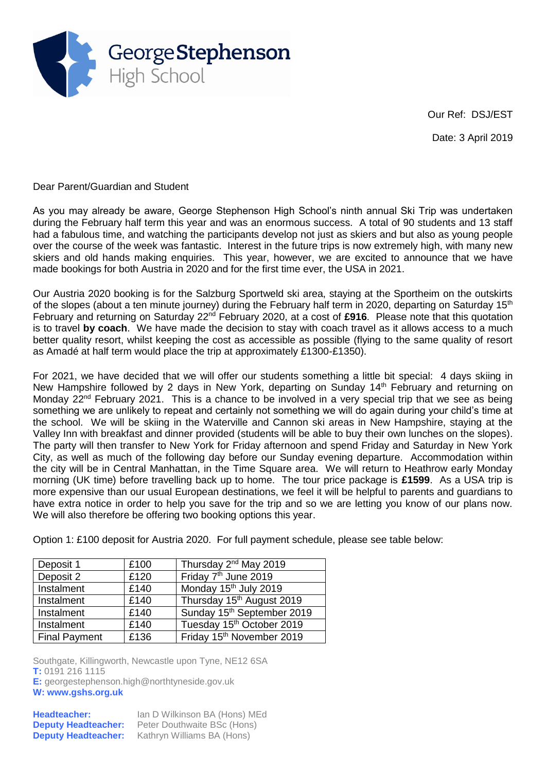

Our Ref: DSJ/EST

Date: 3 April 2019

Dear Parent/Guardian and Student

As you may already be aware, George Stephenson High School's ninth annual Ski Trip was undertaken during the February half term this year and was an enormous success. A total of 90 students and 13 staff had a fabulous time, and watching the participants develop not just as skiers and but also as young people over the course of the week was fantastic. Interest in the future trips is now extremely high, with many new skiers and old hands making enquiries. This year, however, we are excited to announce that we have made bookings for both Austria in 2020 and for the first time ever, the USA in 2021.

Our Austria 2020 booking is for the Salzburg Sportweld ski area, staying at the Sportheim on the outskirts of the slopes (about a ten minute journey) during the February half term in 2020, departing on Saturday 15<sup>th</sup> February and returning on Saturday 22<sup>nd</sup> February 2020, at a cost of £916. Please note that this quotation is to travel **by coach**. We have made the decision to stay with coach travel as it allows access to a much better quality resort, whilst keeping the cost as accessible as possible (flying to the same quality of resort as Amadé at half term would place the trip at approximately £1300-£1350).

For 2021, we have decided that we will offer our students something a little bit special: 4 days skiing in New Hampshire followed by 2 days in New York, departing on Sunday 14<sup>th</sup> February and returning on Monday 22<sup>nd</sup> February 2021. This is a chance to be involved in a very special trip that we see as being something we are unlikely to repeat and certainly not something we will do again during your child's time at the school. We will be skiing in the Waterville and Cannon ski areas in New Hampshire, staying at the Valley Inn with breakfast and dinner provided (students will be able to buy their own lunches on the slopes). The party will then transfer to New York for Friday afternoon and spend Friday and Saturday in New York City, as well as much of the following day before our Sunday evening departure. Accommodation within the city will be in Central Manhattan, in the Time Square area. We will return to Heathrow early Monday morning (UK time) before travelling back up to home. The tour price package is **£1599**. As a USA trip is more expensive than our usual European destinations, we feel it will be helpful to parents and guardians to have extra notice in order to help you save for the trip and so we are letting you know of our plans now. We will also therefore be offering two booking options this year.

Option 1: £100 deposit for Austria 2020. For full payment schedule, please see table below:

| Deposit 1            | £100 | Thursday 2 <sup>nd</sup> May 2019      |
|----------------------|------|----------------------------------------|
| Deposit 2            | £120 | Friday 7 <sup>th</sup> June 2019       |
| Instalment           | £140 | Monday 15 <sup>th</sup> July 2019      |
| Instalment           | £140 | Thursday 15 <sup>th</sup> August 2019  |
| Instalment           | £140 | Sunday 15 <sup>th</sup> September 2019 |
| Instalment           | £140 | Tuesday 15 <sup>th</sup> October 2019  |
| <b>Final Payment</b> | £136 | Friday 15th November 2019              |

Southgate, Killingworth, Newcastle upon Tyne, NE12 6SA **T:** 0191 216 1115 **E:** [georgestephenson.high@northtyneside.gov.uk](mailto:georgestephenson.high@northtyneside.gov.uk)

**W: www.gshs.org.uk**

| <b>Headteacher:</b>        | Ian D Wilkinson BA (Hons) MEd |
|----------------------------|-------------------------------|
| <b>Deputy Headteacher:</b> | Peter Douthwaite BSc (Hons)   |
| <b>Deputy Headteacher:</b> | Kathryn Williams BA (Hons)    |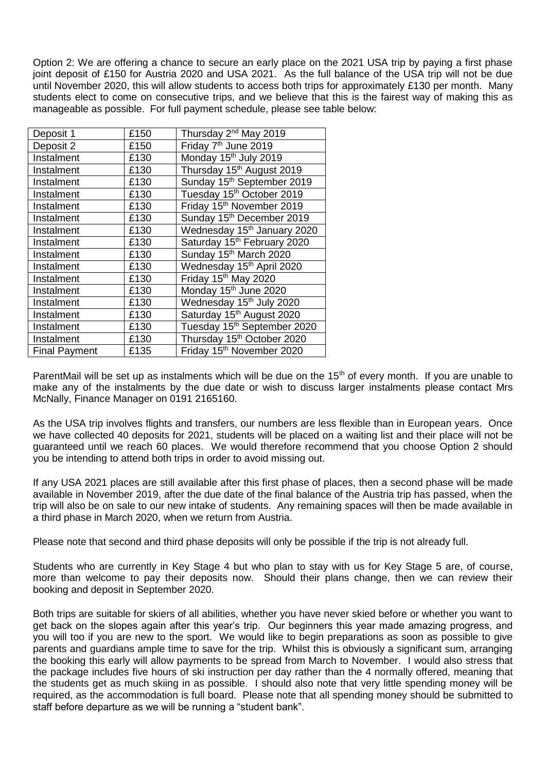Option 2: We are offering a chance to secure an early place on the 2021 USA trip by paying a first phase joint deposit of £150 for Austria 2020 and USA 2021. As the full balance of the USA trip will not be due until November 2020, this will allow students to access both trips for approximately £130 per month. Many students elect to come on consecutive trips, and we believe that this is the fairest way of making this as manageable as possible. For full payment schedule, please see table below:

| Deposit 1            | £150 | Thursday 2 <sup>nd</sup> May 2019       |
|----------------------|------|-----------------------------------------|
| Deposit 2            | £150 | Friday 7 <sup>th</sup> June 2019        |
| Instalment           | £130 | Monday 15 <sup>th</sup> July 2019       |
| Instalment           | £130 | Thursday 15 <sup>th</sup> August 2019   |
| Instalment           | £130 | Sunday 15 <sup>th</sup> September 2019  |
| Instalment           | £130 | Tuesday 15 <sup>th</sup> October 2019   |
| Instalment           | £130 | Friday 15 <sup>th</sup> November 2019   |
| Instalment           | £130 | Sunday 15th December 2019               |
| Instalment           | £130 | Wednesday 15 <sup>th</sup> January 2020 |
| Instalment           | £130 | Saturday 15th February 2020             |
| Instalment           | £130 | Sunday 15th March 2020                  |
| Instalment           | £130 | Wednesday 15th April 2020               |
| Instalment           | £130 | Friday 15th May 2020                    |
| Instalment           | £130 | Monday 15 <sup>th</sup> June 2020       |
| Instalment           | £130 | Wednesday 15 <sup>th</sup> July 2020    |
| Instalment           | £130 | Saturday 15 <sup>th</sup> August 2020   |
| Instalment           | £130 | Tuesday 15 <sup>th</sup> September 2020 |
| Instalment           | £130 | Thursday 15 <sup>th</sup> October 2020  |
| <b>Final Payment</b> | £135 | Friday 15th November 2020               |

ParentMail will be set up as instalments which will be due on the 15<sup>th</sup> of every month. If you are unable to make any of the instalments by the due date or wish to discuss larger instalments please contact Mrs McNally, Finance Manager on 0191 2165160.

As the USA trip involves flights and transfers, our numbers are less flexible than in European years. Once we have collected 40 deposits for 2021, students will be placed on a waiting list and their place will not be guaranteed until we reach 60 places. We would therefore recommend that you choose Option 2 should you be intending to attend both trips in order to avoid missing out.

If any USA 2021 places are still available after this first phase of places, then a second phase will be made available in November 2019, after the due date of the final balance of the Austria trip has passed, when the trip will also be on sale to our new intake of students. Any remaining spaces will then be made available in a third phase in March 2020, when we return from Austria.

Please note that second and third phase deposits will only be possible if the trip is not already full.

Students who are currently in Key Stage 4 but who plan to stay with us for Key Stage 5 are, of course, more than welcome to pay their deposits now. Should their plans change, then we can review their booking and deposit in September 2020.

Both trips are suitable for skiers of all abilities, whether you have never skied before or whether you want to get back on the slopes again after this year's trip. Our beginners this year made amazing progress, and you will too if you are new to the sport. We would like to begin preparations as soon as possible to give parents and guardians ample time to save for the trip. Whilst this is obviously a significant sum, arranging the booking this early will allow payments to be spread from March to November. I would also stress that the package includes five hours of ski instruction per day rather than the 4 normally offered, meaning that the students get as much skiing in as possible. I should also note that very little spending money will be required, as the accommodation is full board. Please note that all spending money should be submitted to staff before departure as we will be running a "student bank".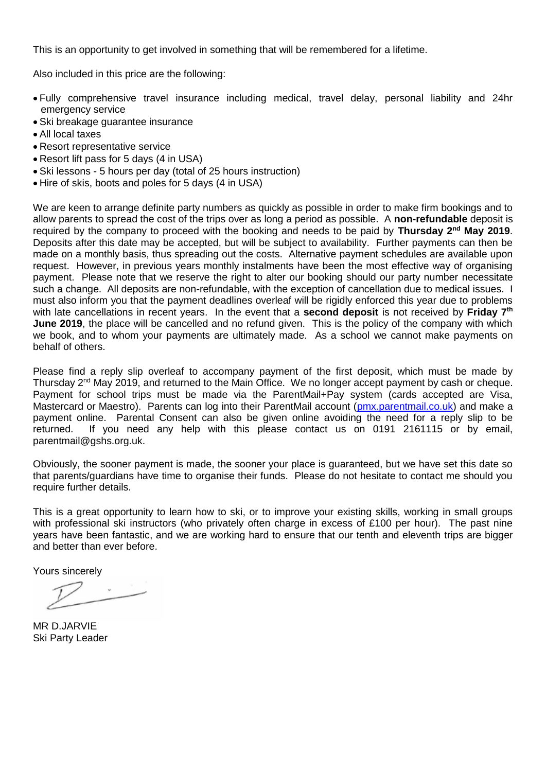This is an opportunity to get involved in something that will be remembered for a lifetime.

Also included in this price are the following:

- Fully comprehensive travel insurance including medical, travel delay, personal liability and 24hr emergency service
- Ski breakage guarantee insurance
- All local taxes
- Resort representative service
- Resort lift pass for 5 days (4 in USA)
- Ski lessons 5 hours per day (total of 25 hours instruction)
- Hire of skis, boots and poles for 5 days (4 in USA)

We are keen to arrange definite party numbers as quickly as possible in order to make firm bookings and to allow parents to spread the cost of the trips over as long a period as possible. A **non-refundable** deposit is required by the company to proceed with the booking and needs to be paid by Thursday 2<sup>nd</sup> May 2019. Deposits after this date may be accepted, but will be subject to availability. Further payments can then be made on a monthly basis, thus spreading out the costs. Alternative payment schedules are available upon request. However, in previous years monthly instalments have been the most effective way of organising payment. Please note that we reserve the right to alter our booking should our party number necessitate such a change. All deposits are non-refundable, with the exception of cancellation due to medical issues. I must also inform you that the payment deadlines overleaf will be rigidly enforced this year due to problems with late cancellations in recent years. In the event that a **second deposit** is not received by **Friday 7th June 2019**, the place will be cancelled and no refund given. This is the policy of the company with which we book, and to whom your payments are ultimately made. As a school we cannot make payments on behalf of others.

Please find a reply slip overleaf to accompany payment of the first deposit, which must be made by Thursday 2<sup>nd</sup> May 2019, and returned to the Main Office. We no longer accept payment by cash or cheque. Payment for school trips must be made via the ParentMail+Pay system (cards accepted are Visa, Mastercard or Maestro). Parents can log into their ParentMail account [\(pmx.parentmail.co.](http://www.parentmail2.co.uk/)uk) and make a payment online. Parental Consent can also be given online avoiding the need for a reply slip to be returned. If you need any help with this please contact us on 0191 2161115 or by email, parentmail@gshs.org.uk.

Obviously, the sooner payment is made, the sooner your place is guaranteed, but we have set this date so that parents/guardians have time to organise their funds. Please do not hesitate to contact me should you require further details.

This is a great opportunity to learn how to ski, or to improve your existing skills, working in small groups with professional ski instructors (who privately often charge in excess of £100 per hour). The past nine years have been fantastic, and we are working hard to ensure that our tenth and eleventh trips are bigger and better than ever before.

Yours sincerely

MR D.JARVIE Ski Party Leader